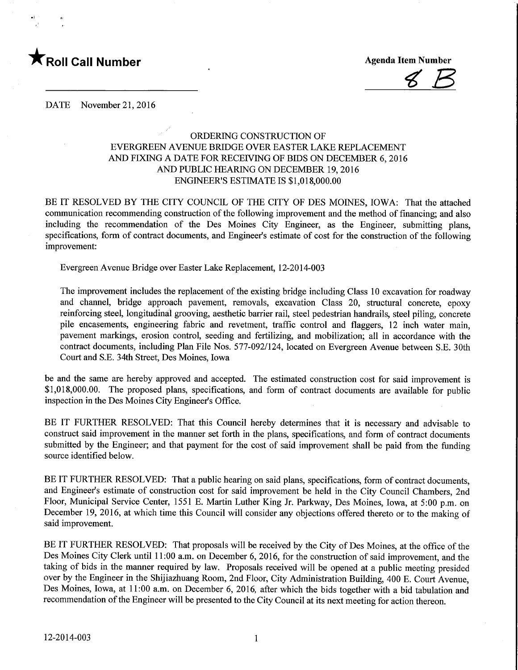

 $B$ 

DATE November 21, 2016

## ORDERING CONSTRUCTION OF EVERGREEN AVENUE BRIDGE OVER EASTER LAKE REPLACEMENT AND FIXING A DATE FOR RECEIVING OF BIDS ON DECEMBER 6, 2016 AND PUBLIC HEARING ON DECEMBER 19,2016 ENGINEER'S ESTIMATE IS \$1,018,000.00

BE IT RESOLVED BY THE CITY COUNCIL OF THE CITY OF DES MOINES, IOWA: That the attached communication recommending construction of the following improvement and the method of financing; and also including the recommendation of the Des Moines City Engineer, as the Engineer, submitting plans, specifications, form of contract documents, and Engineer's estimate of cost for the construction of the following improvement:

Evergreen Avenue Bridge over Easter Lake Replacement, 12-2014-003

The improvement includes the replacement of the existing bridge including Class 10 excavation for roadway and channel, bridge approach pavement, removals, excavation Class 20, structural concrete, epoxy reinforcing steel, longitudinal grooving, aesthetic barrier rail, steel pedestrian handrails, steel piling, concrete pile encasements, engineering fabric and revetment, traffic control and flaggers, 12 inch water mam, pavement markings, erosion control, seeding and fertilizing, and mobilization; all in accordance with the contract documents, including Plan File Nos. 577-092/124, located on Evergreen Avenue between S.E. 30th Court and S.E. 34th Street, Des Moines, Iowa

be and the same are hereby approved and accepted. The estimated construction cost for said improvement is \$1,018,000.00. The proposed plans, specifications, and form of contract documents are available for public inspection in the Des Moines City Engineer's Office.

BE IT FURTHER RESOLVED: That this Council hereby determines that it is necessary and advisable to construct said improvement in the manner set forth in the plans, specifications, and form of contract documents submitted by the Engineer; and that payment for the cost of said improvement shall be paid from the funding source identified below.

BE IT FURTHER RESOLVED: That a public hearing on said plans, specifications, form of contract documents, and Engineer's estimate of construction cost for said improvement be held in the City Council Chambers, 2nd Floor, Municipal Service Center, 1551 E. Martin Luther King Jr. Parkway, Des Moines, Iowa, at 5:00 p.m. on December 19, 2016, at which time this Council will consider any objections offered thereto or to the making of said improvement.

BE IT FURTHER RESOLVED: That proposals will be received by the City of Des Moines, at the office of the Des Moines City Clerk until 11:00 a.m. on December 6, 2016, for the construction of said improvement, and the taking of bids in the manner required by law. Proposals received will be opened at a public meeting presided over by the Engineer in the Shijiazhuang Room, 2nd Floor, City Administration Building, 400 E. Court Avenue, Des Moines, Iowa, at 11:00 a.m. on December 6, 2016, after which the bids together with a bid tabulation and recommendation of the Engineer will be presented to the City Council at its next meeting for action thereon.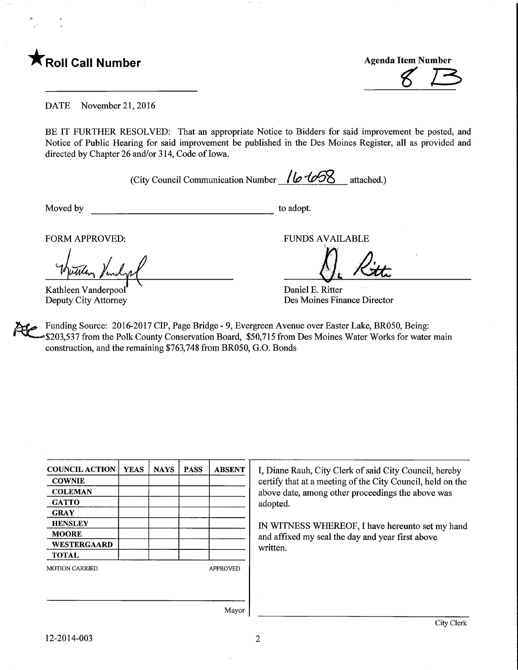

 $8B$ 

DATE November 21, 2016

BE IT FURTHER RESOLVED: That an appropriate Notice to Bidders for said improvement be posted, and Notice of Public Hearing for said improvement be published in the Des Moines Register, all as provided and directed by Chapter 26 and/or 314, Code of Iowa.

(City Council Communication Number  $\sqrt{\frac{6468}{5}}$  attached.)

Moved by to adopt.

FORM APPROVED: FUNDS AVAILABLE

they think

Kathleen Vanderpool' Deputy City Attorney

Daniel E. Ritter Des Moines Finance Director

Funding Source: 2016-2017 CIP, Page Bridge - 9, Evergreen Avenue over Easter Lake, BR050, Being: \$203,537 from the Polk County Conservation Board, \$50,715 from Des Moines Water Works for water main construction, and the remaining \$763,748 from BR050, G.O. Bonds

| <b>COUNCIL ACTION</b> | <b>YEAS</b> | <b>NAYS</b> | <b>PASS</b> | <b>ABSENT</b>   |
|-----------------------|-------------|-------------|-------------|-----------------|
| <b>COWNIE</b>         |             |             |             |                 |
| <b>COLEMAN</b>        |             |             |             |                 |
| GATTO                 |             |             |             |                 |
| <b>GRAY</b>           |             |             |             |                 |
| <b>HENSLEY</b>        |             |             |             |                 |
| <b>MOORE</b>          |             |             |             |                 |
| <b>WESTERGAARD</b>    |             |             |             |                 |
| <b>TOTAL</b>          |             |             |             |                 |
| <b>MOTION CARRIED</b> |             |             |             | <b>APPROVED</b> |
|                       |             |             |             |                 |
|                       |             |             |             |                 |
|                       |             |             |             |                 |
|                       |             |             |             | Mavor           |

I, Diane Rauh, City Clerk of said City Council, hereby certify that at a meeting of the City Council, held on the above date, among other proceedings the above was adopted.

IN WITNESS WHEREOF, I have hereunto set my hand and affixed my seal the day and year first above written.

12-2014-003

 $\overline{2}$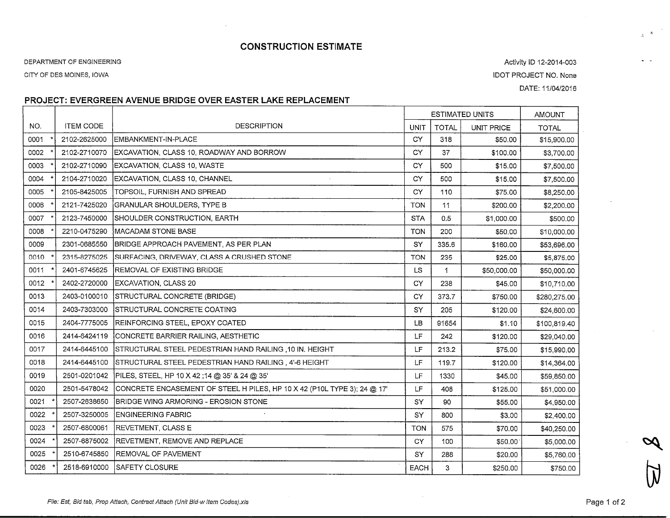# CONSTRUCTION ESTIMATE

### DEPARTMENT OF ENGINEERING

CITY OF DES MOINES, IOWA

Activity ID 12-2014-003IDOT PROJECT NO. NoneDATE: 11/04/2016

### PROJECT: EVERGREEN AVENUE BRIDGE OVER EASTER LAKE REPLACEMENT

|      |                  |                                                                          | <b>ESTIMATED UNITS</b> |              | <b>AMOUNT</b>     |              |
|------|------------------|--------------------------------------------------------------------------|------------------------|--------------|-------------------|--------------|
| NO.  | <b>ITEM CODE</b> | <b>DESCRIPTION</b>                                                       | <b>UNIT</b>            | <b>TOTAL</b> | <b>UNIT PRICE</b> | <b>TOTAL</b> |
| 0001 | 2102-2625000     | EMBANKMENT-IN-PLACE                                                      | CY                     | 318          | \$50.00           | \$15,900.00  |
| 0002 | 2102-2710070     | EXCAVATION, CLASS 10, ROADWAY AND BORROW                                 | CY                     | 37           | \$100.00          | \$3,700.00   |
| 0003 | 2102-2710090     | EXCAVATION, CLASS 10, WASTE                                              | CY                     | 500          | \$15.00           | \$7,500.00   |
| 0004 | 2104-2710020     | EXCAVATION, CLASS 10, CHANNEL                                            | CY                     | 500          | \$15.00           | \$7,500.00   |
| 0005 | 2105-8425005     | TOPSOIL, FURNISH AND SPREAD                                              | CY                     | 110          | \$75,00           | \$8,250.00   |
| 0006 | 2121-7425020     | GRANULAR SHOULDERS, TYPE B                                               | <b>TON</b>             | 11           | \$200.00          | \$2,200.00   |
| 0007 | 2123-7450000     | SHOULDER CONSTRUCTION, EARTH                                             | <b>STA</b>             | 0.5          | \$1,000.00        | \$500.00     |
| 0008 | 2210-0475290     | MACADAM STONE BASE                                                       | <b>TON</b>             | 200          | \$50.00           | \$10,000.00  |
| 0009 | 2301-0685550     | BRIDGE APPROACH PAVEMENT, AS PER PLAN                                    | SY                     | 335.6        | \$160.00          | \$53,696.00  |
| 0010 | 2315-8275025     | SURFACING, DRIVEWAY, CLASS A CRUSHED STONE                               | <b>TON</b>             | 235          | \$25.00           | \$5,875.00   |
| 0011 | 2401-6745625     | <b>IREMOVAL OF EXISTING BRIDGE</b>                                       | LS.                    | 1            | \$50,000.00       | \$50,000.00  |
| 0012 | 2402-2720000     | EXCAVATION, CLASS 20                                                     | CY                     | 238          | \$45.00           | \$10,710.00  |
| 0013 | 2403-0100010     | STRUCTURAL CONCRETE (BRIDGE)                                             | CY                     | 373.7        | \$750.00          | \$280,275.00 |
| 0014 | 2403-7303000     | ISTRUCTURAL CONCRETE COATING                                             | SY                     | 205          | \$120.00          | \$24,600.00  |
| 0015 | 2404-7775005     | REINFORCING STEEL, EPOXY COATED                                          | LB                     | 91654        | \$1.10            | \$100,819.40 |
| 0016 | 2414-6424119     | ICONCRETE BARRIER RAILING. AESTHETIC                                     | <b>LF</b>              | 242          | \$120.00          | \$29,040.00  |
| 0017 | 2414-6445100     | STRUCTURAL STEEL PEDESTRIAN HAND RAILING ,10 IN. HEIGHT                  | LF                     | 213.2        | \$75.00           | \$15,990.00  |
| 0018 | 2414-6445100     | STRUCTURAL STEEL PEDESTRIAN HAND RAILING, 4'-6 HEIGHT                    | LF                     | 119.7        | \$120.00          | \$14,364.00  |
| 0019 | 2501-0201042     | PILES, STEEL, HP 10 X 42 ;14 @ 35' & 24 @ 35'                            | LF                     | 1330         | \$45.00           | \$59,850.00  |
| 0020 | 2501-5478042     | CONCRETE ENCASEMENT OF STEEL H PILES, HP 10 X 42 (P10L TYPE 3); 24 @ 17' | LF                     | 408          | \$125.00          | \$51,000.00  |
| 0021 | 2507-2638650     | BRIDGE WING ARMORING - EROSION STONE                                     | SY                     | 90           | \$55.00           | \$4,950.00   |
| 0022 | 2507-3250005     | <b>ENGINEERING FABRIC</b>                                                | SY                     | 800          | \$3.00            | \$2,400.00   |
| 0023 | 2507-6800061     | REVETMENT, CLASS E                                                       | <b>TON</b>             | 575          | \$70.00           | \$40,250.00  |
| 0024 | 2507-6875002     | REVETMENT, REMOVE AND REPLACE                                            | <b>CY</b>              | 100          | \$50.00           | \$5,000.00   |
| 0025 | 2510-6745850     | <b>REMOVAL OF PAVEMENT</b>                                               | SY                     | 288          | \$20.00           | \$5,760.00   |
| 0026 | 2518-6910000     | SAFETY CLOSURE                                                           | <b>EACH</b>            | 3            | \$250.00          | \$750.00     |

File: Esf, Bid tab, Prop Attach, Contract Attach (Unit Bid-w Item Codes).xls

Page 1 of 2

 $\chi$ 

 $\widetilde{\mathcal{N}}$ 

 $\lesssim -5$